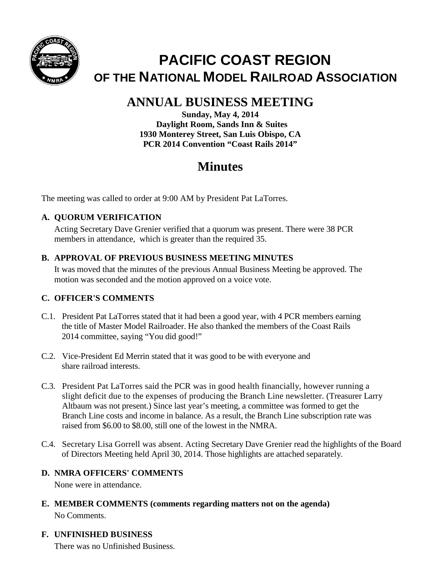

# **PACIFIC COAST REGION OF THE NATIONAL MODEL RAILROAD ASSOCIATION**

## **ANNUAL BUSINESS MEETING**

**Sunday, May 4, 2014 Daylight Room, Sands Inn & Suites 1930 Monterey Street, San Luis Obispo, CA PCR 2014 Convention "Coast Rails 2014"**

## **Minutes**

The meeting was called to order at 9:00 AM by President Pat LaTorres.

## **A. QUORUM VERIFICATION**

Acting Secretary Dave Grenier verified that a quorum was present. There were 38 PCR members in attendance, which is greater than the required 35.

#### **B. APPROVAL OF PREVIOUS BUSINESS MEETING MINUTES**

It was moved that the minutes of the previous Annual Business Meeting be approved. The motion was seconded and the motion approved on a voice vote.

## **C. OFFICER'S COMMENTS**

- C.1. President Pat LaTorres stated that it had been a good year, with 4 PCR members earning the title of Master Model Railroader. He also thanked the members of the Coast Rails 2014 committee, saying "You did good!"
- C.2. Vice-President Ed Merrin stated that it was good to be with everyone and share railroad interests.
- C.3. President Pat LaTorres said the PCR was in good health financially, however running a slight deficit due to the expenses of producing the Branch Line newsletter. (Treasurer Larry Altbaum was not present.) Since last year's meeting, a committee was formed to get the Branch Line costs and income in balance. As a result, the Branch Line subscription rate was raised from \$6.00 to \$8.00, still one of the lowest in the NMRA.
- C.4. Secretary Lisa Gorrell was absent. Acting Secretary Dave Grenier read the highlights of the Board of Directors Meeting held April 30, 2014. Those highlights are attached separately.

## **D. NMRA OFFICERS' COMMENTS**

None were in attendance.

**E. MEMBER COMMENTS (comments regarding matters not on the agenda)** No Comments.

## **F. UNFINISHED BUSINESS**

There was no Unfinished Business.